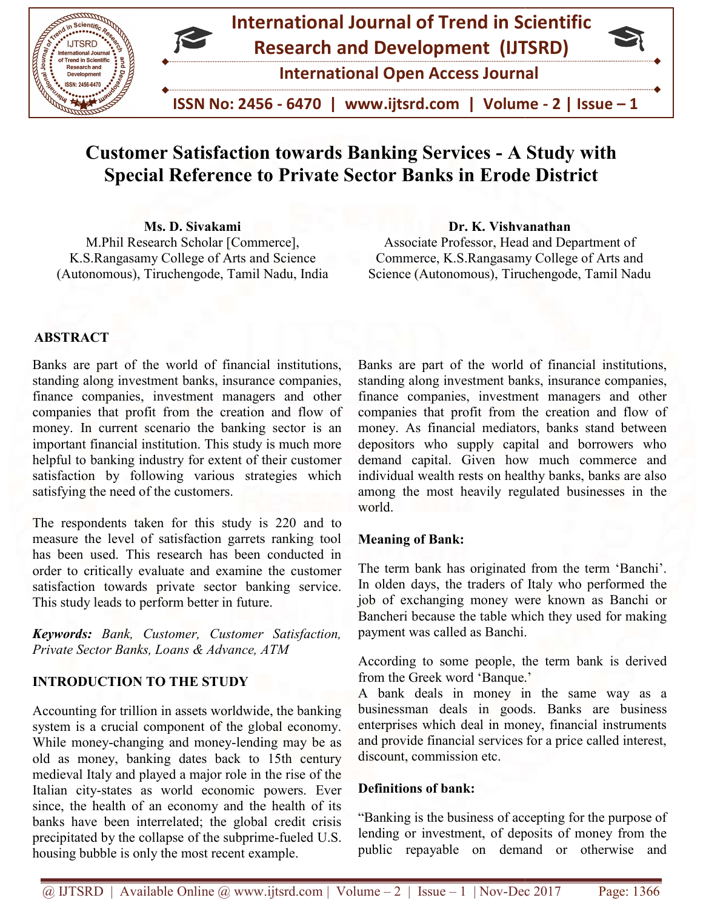

# Customer Satisfaction towards Banking Services - A Study with<br>Special Reference to Private Sector Banks in Erode District Special Reference to Private Sector Banks in Erode District

Ms. D. Sivakami M.Phil Research Scholar [Commerce], K.S.Rangasamy College of Arts and Science (Autonomous), Tiruchengode, Tamil Nadu, India Ms. D. Sivakami Dr. K. Vishvanathan<br>M.Phil Research Scholar [Commerce], Associate Professor, Head and Dep<br>K.S.Rangasamy College of Arts and Science Commerce, K.S.Rangasamy College<br>utonomous), Tiruchengode, Tamil Nadu, Indi

Associate Professor, Head and Department of Commerce, K.S.Rangasamy College of Arts and Science (Autonomous), Tiruchengode, Tamil Nadu

### ABSTRACT

Banks are part of the world of financial institutions, standing along investment banks, insurance companies, finance companies, investment managers and other companies that profit from the creation and flow of money. In current scenario the banking sector is an important financial institution. This study is much more helpful to banking industry for extent of their customer helpful to banking industry for extent of their customer<br>satisfaction by following various strategies which satisfying the need of the customers.

The respondents taken for this study is 220 and to measure the level of satisfaction garrets ranking tool<br>has been used. This research has been conducted in has been used. This research has been conducted in order to critically evaluate and examine the customer satisfaction towards private sector banking service. This study leads to perform better in future.

Keywords: Bank, Customer, Customer Satisfaction,<br>Private Sector Banks, Loans & Advance, ATM Private Sector Banks, Loans & Advance, AT

### INTRODUCTION TO THE STUDY

Accounting for trillion in assets worldwide, the banking system is a crucial component of the global economy. While money-changing and money-lending may be as old as money, banking dates back to 15th century medieval Italy and played a major role in the rise of the Italian city-states as world economic powers. Ever since, the health of an economy and the health of its banks have been interrelated; the global credit crisis banks have been interrelated; the global credit crisis precipitated by the collapse of the subprime-fueled U.S. housing bubble is only the most recent example. heta in the more when the more when the more when the more y, banking dates back to 15th century if Italy and played a major role in the rise of the

Banks are part of the world of financial institutions, Science (Autonomous), Tiruchengode, Tamil Nadu<br>Banks are part of the world of financial institutions,<br>standing along investment banks, insurance companies, finance companies, investment managers and other companies that profit from the creation and flow of money. As financial mediators, banks stand between depositors who supply capital and borrowers who demand capital. Given how much commerce and individual wealth rests on healthy banks, banks are also among the most heavily regulated businesses in the world. companies that profit from the creation and fluorey. As financial mediators, banks stand be<br>depositors who supply capital and borrowers<br>demand capital. Given how much commercond<br>individual wealth rests on healthy banks, ba

#### Meaning of Bank:

The term bank has originated from the term 'Banchi'. In olden days, the traders of Italy who performed the job of exchanging money were known as Banchi or Bancheri because the table which they used for making payment was called as Banchi.

According to some people, the term bank is derived from the Greek word 'Banque.'

A bank deals in money in the same way as a businessman deals in goods. Banks are business enterprises which deal in money, financial instruments and provide financial services for a price called interest, discount, commission etc.

### Definitions of bank:

"Banking is the business of accepting for the purpose of lending or investment, of deposits of money from the public repayable on demand or otherwise and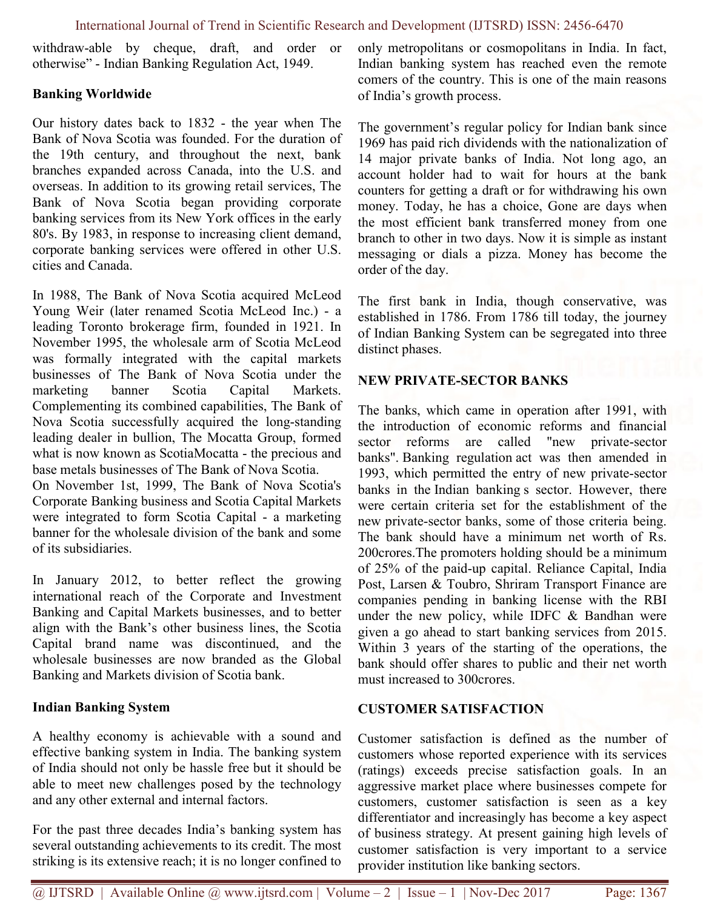withdraw-able by cheque, draft, and order or otherwise" - Indian Banking Regulation Act, 1949.

### Banking Worldwide

Our history dates back to 1832 - the year when The Bank of Nova Scotia was founded. For the duration of the 19th century, and throughout the next, bank branches expanded across Canada, into the U.S. and overseas. In addition to its growing retail services, The Bank of Nova Scotia began providing corporate banking services from its New York offices in the early 80's. By 1983, in response to increasing client demand, corporate banking services were offered in other U.S. cities and Canada.

In 1988, The Bank of Nova Scotia acquired McLeod Young Weir (later renamed Scotia McLeod Inc.) - a leading Toronto brokerage firm, founded in 1921. In November 1995, the wholesale arm of Scotia McLeod was formally integrated with the capital markets businesses of The Bank of Nova Scotia under the marketing banner Scotia Capital Markets. Complementing its combined capabilities, The Bank of Nova Scotia successfully acquired the long-standing leading dealer in bullion, The Mocatta Group, formed what is now known as ScotiaMocatta - the precious and base metals businesses of The Bank of Nova Scotia.

On November 1st, 1999, The Bank of Nova Scotia's Corporate Banking business and Scotia Capital Markets were integrated to form Scotia Capital - a marketing banner for the wholesale division of the bank and some of its subsidiaries.

In January 2012, to better reflect the growing international reach of the Corporate and Investment Banking and Capital Markets businesses, and to better align with the Bank's other business lines, the Scotia Capital brand name was discontinued, and the wholesale businesses are now branded as the Global Banking and Markets division of Scotia bank.

### Indian Banking System

A healthy economy is achievable with a sound and effective banking system in India. The banking system of India should not only be hassle free but it should be able to meet new challenges posed by the technology and any other external and internal factors.

For the past three decades India's banking system has several outstanding achievements to its credit. The most striking is its extensive reach; it is no longer confined to

only metropolitans or cosmopolitans in India. In fact, Indian banking system has reached even the remote comers of the country. This is one of the main reasons of India's growth process.

The government's regular policy for Indian bank since 1969 has paid rich dividends with the nationalization of 14 major private banks of India. Not long ago, an account holder had to wait for hours at the bank counters for getting a draft or for withdrawing his own money. Today, he has a choice, Gone are days when the most efficient bank transferred money from one branch to other in two days. Now it is simple as instant messaging or dials a pizza. Money has become the order of the day.

The first bank in India, though conservative, was established in 1786. From 1786 till today, the journey of Indian Banking System can be segregated into three distinct phases.

### NEW PRIVATE-SECTOR BANKS

The banks, which came in operation after 1991, with the introduction of economic reforms and financial sector reforms are called "new private-sector banks". Banking regulation act was then amended in 1993, which permitted the entry of new private-sector banks in the Indian banking s sector. However, there were certain criteria set for the establishment of the new private-sector banks, some of those criteria being. The bank should have a minimum net worth of Rs. 200crores.The promoters holding should be a minimum of 25% of the paid-up capital. Reliance Capital, India Post, Larsen & Toubro, Shriram Transport Finance are companies pending in banking license with the RBI under the new policy, while IDFC & Bandhan were given a go ahead to start banking services from 2015. Within 3 years of the starting of the operations, the bank should offer shares to public and their net worth must increased to 300crores.

### CUSTOMER SATISFACTION

Customer satisfaction is defined as the number of customers whose reported experience with its services (ratings) exceeds precise satisfaction goals. In an aggressive market place where businesses compete for customers, customer satisfaction is seen as a key differentiator and increasingly has become a key aspect of business strategy. At present gaining high levels of customer satisfaction is very important to a service provider institution like banking sectors.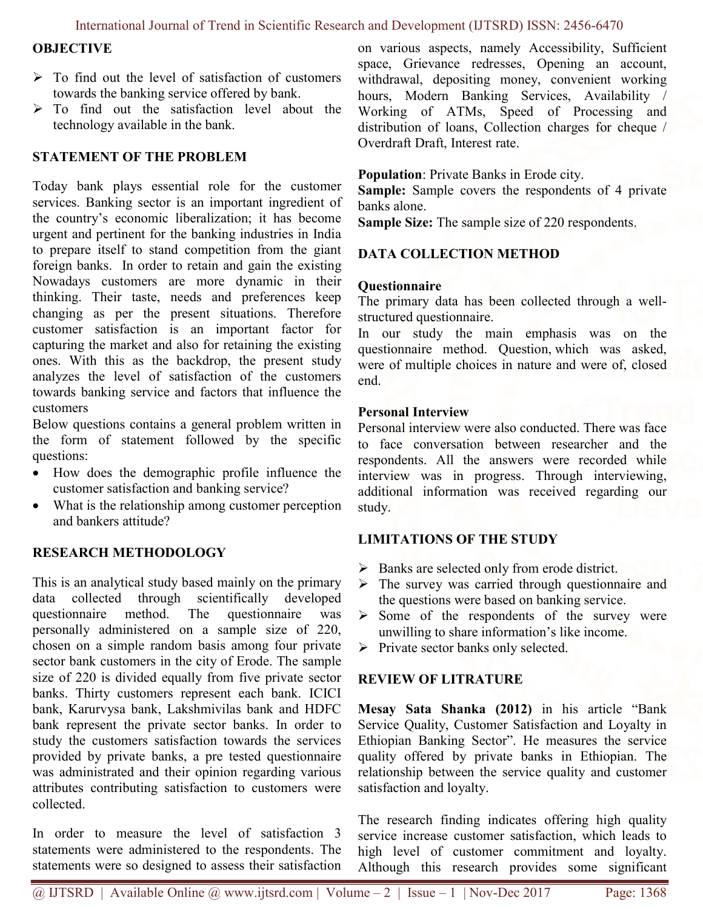### International Journal of Trend in Scientific Research and Development (IJTSRD) ISSN: 2456-6470

### **OBJECTIVE**

- $\triangleright$  To find out the level of satisfaction of customers towards the banking service offered by bank.
- > To find out the satisfaction level about the technology available in the bank.

# STATEMENT OF THE PROBLEM

Today bank plays essential role for the customer services. Banking sector is an important ingredient of the country's economic liberalization; it has become urgent and pertinent for the banking industries in India to prepare itself to stand competition from the giant foreign banks. In order to retain and gain the existing Nowadays customers are more dynamic in their thinking. Their taste, needs and preferences keep changing as per the present situations. Therefore customer satisfaction is an important factor for capturing the market and also for retaining the existing ones. With this as the backdrop, the present study analyzes the level of satisfaction of the customers towards banking service and factors that influence the customers

Below questions contains a general problem written in the form of statement followed by the specific questions:

- How does the demographic profile influence the customer satisfaction and banking service?
- What is the relationship among customer perception and bankers attitude?

# RESEARCH METHODOLOGY

This is an analytical study based mainly on the primary data collected through scientifically developed questionnaire method. The questionnaire was personally administered on a sample size of 220, chosen on a simple random basis among four private sector bank customers in the city of Erode. The sample size of 220 is divided equally from five private sector banks. Thirty customers represent each bank. ICICI bank, Karurvysa bank, Lakshmivilas bank and HDFC bank represent the private sector banks. In order to study the customers satisfaction towards the services provided by private banks, a pre tested questionnaire was administrated and their opinion regarding various attributes contributing satisfaction to customers were collected.

In order to measure the level of satisfaction 3 statements were administered to the respondents. The statements were so designed to assess their satisfaction

on various aspects, namely Accessibility, Sufficient space, Grievance redresses, Opening an account, withdrawal, depositing money, convenient working hours, Modern Banking Services, Availability / Working of ATMs, Speed of Processing and distribution of loans, Collection charges for cheque / Overdraft Draft, Interest rate.

## Population: Private Banks in Erode city.

Sample: Sample covers the respondents of 4 private banks alone.

Sample Size: The sample size of 220 respondents.

# DATA COLLECTION METHOD

### **Ouestionnaire**

The primary data has been collected through a wellstructured questionnaire.

In our study the main emphasis was on the questionnaire method. Question, which was asked, were of multiple choices in nature and were of, closed end.

### Personal Interview

Personal interview were also conducted. There was face to face conversation between researcher and the respondents. All the answers were recorded while interview was in progress. Through interviewing, additional information was received regarding our study.

# LIMITATIONS OF THE STUDY

- $\triangleright$  Banks are selected only from erode district.
- > The survey was carried through questionnaire and the questions were based on banking service.
- $\triangleright$  Some of the respondents of the survey were unwilling to share information's like income.
- $\triangleright$  Private sector banks only selected.

# REVIEW OF LITRATURE

Mesay Sata Shanka (2012) in his article "Bank Service Quality, Customer Satisfaction and Loyalty in Ethiopian Banking Sector". He measures the service quality offered by private banks in Ethiopian. The relationship between the service quality and customer satisfaction and loyalty.

The research finding indicates offering high quality service increase customer satisfaction, which leads to high level of customer commitment and loyalty. Although this research provides some significant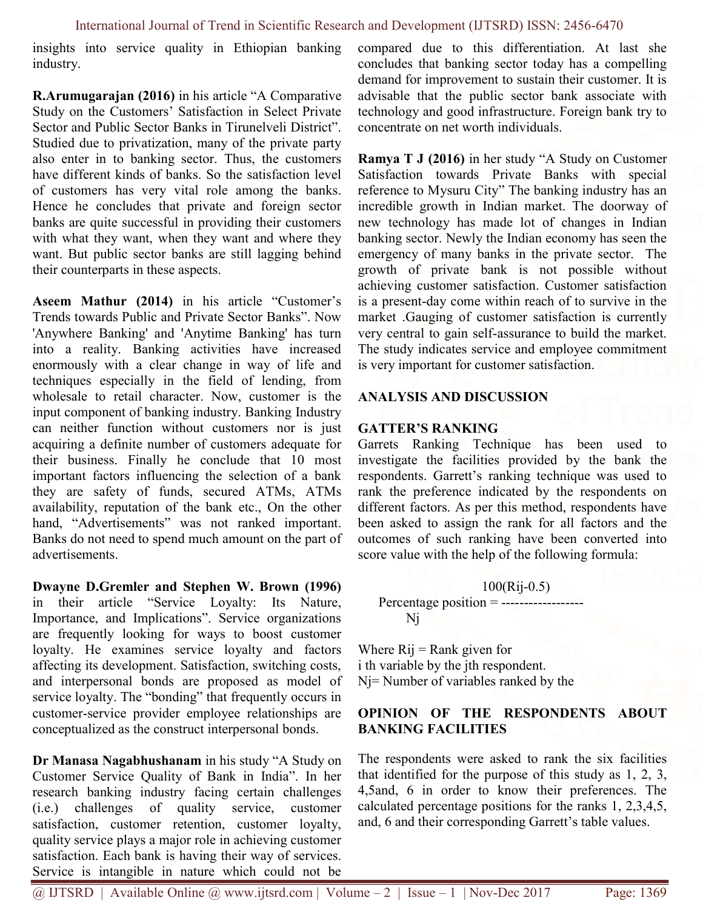insights into service quality in Ethiopian banking industry.

R.Arumugarajan (2016) in his article "A Comparative Study on the Customers' Satisfaction in Select Private Sector and Public Sector Banks in Tirunelveli District". Studied due to privatization, many of the private party also enter in to banking sector. Thus, the customers have different kinds of banks. So the satisfaction level of customers has very vital role among the banks. Hence he concludes that private and foreign sector banks are quite successful in providing their customers with what they want, when they want and where they want. But public sector banks are still lagging behind their counterparts in these aspects.

Aseem Mathur (2014) in his article "Customer's Trends towards Public and Private Sector Banks". Now 'Anywhere Banking' and 'Anytime Banking' has turn into a reality. Banking activities have increased enormously with a clear change in way of life and techniques especially in the field of lending, from wholesale to retail character. Now, customer is the input component of banking industry. Banking Industry can neither function without customers nor is just acquiring a definite number of customers adequate for their business. Finally he conclude that 10 most important factors influencing the selection of a bank they are safety of funds, secured ATMs, ATMs availability, reputation of the bank etc., On the other hand, "Advertisements" was not ranked important. Banks do not need to spend much amount on the part of advertisements.

Dwayne D.Gremler and Stephen W. Brown (1996) in their article "Service Loyalty: Its Nature, Importance, and Implications". Service organizations are frequently looking for ways to boost customer loyalty. He examines service loyalty and factors affecting its development. Satisfaction, switching costs, and interpersonal bonds are proposed as model of service loyalty. The "bonding" that frequently occurs in customer-service provider employee relationships are conceptualized as the construct interpersonal bonds.

Dr Manasa Nagabhushanam in his study "A Study on Customer Service Quality of Bank in India". In her research banking industry facing certain challenges (i.e.) challenges of quality service, customer satisfaction, customer retention, customer loyalty, quality service plays a major role in achieving customer satisfaction. Each bank is having their way of services. Service is intangible in nature which could not be

compared due to this differentiation. At last she concludes that banking sector today has a compelling demand for improvement to sustain their customer. It is advisable that the public sector bank associate with technology and good infrastructure. Foreign bank try to concentrate on net worth individuals.

Ramya T J (2016) in her study "A Study on Customer Satisfaction towards Private Banks with special reference to Mysuru City" The banking industry has an incredible growth in Indian market. The doorway of new technology has made lot of changes in Indian banking sector. Newly the Indian economy has seen the emergency of many banks in the private sector. The growth of private bank is not possible without achieving customer satisfaction. Customer satisfaction is a present-day come within reach of to survive in the market .Gauging of customer satisfaction is currently very central to gain self-assurance to build the market. The study indicates service and employee commitment is very important for customer satisfaction.

### ANALYSIS AND DISCUSSION

### GATTER'S RANKING

Garrets Ranking Technique has been used to investigate the facilities provided by the bank the respondents. Garrett's ranking technique was used to rank the preference indicated by the respondents on different factors. As per this method, respondents have been asked to assign the rank for all factors and the outcomes of such ranking have been converted into score value with the help of the following formula:

### 100(Rij-0.5)

Percentage position = --------------------Nj

Where  $Rij = Rank$  given for i th variable by the jth respondent. Nj= Number of variables ranked by the

### OPINION OF THE RESPONDENTS ABOUT BANKING FACILITIES

The respondents were asked to rank the six facilities that identified for the purpose of this study as 1, 2, 3, 4,5and, 6 in order to know their preferences. The calculated percentage positions for the ranks 1, 2,3,4,5, and, 6 and their corresponding Garrett's table values.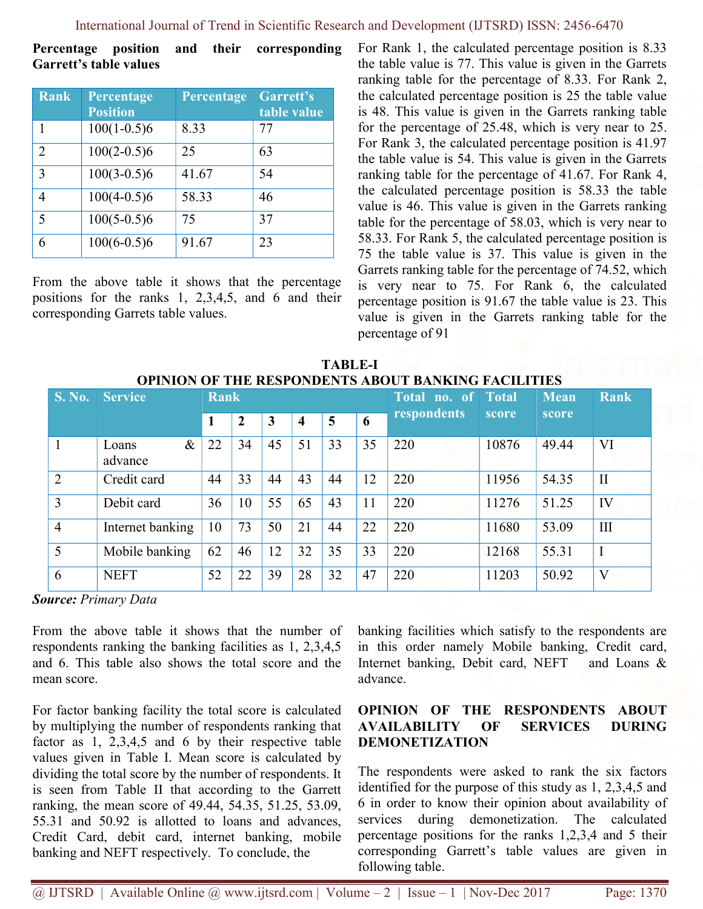Percentage position and their corresponding Garrett's table values

| <b>Rank</b>              | Percentage<br><b>Position</b> | Percentage | Garrett's<br>table value |
|--------------------------|-------------------------------|------------|--------------------------|
| 1                        | $100(1-0.5)6$                 | 8.33       | 77                       |
| $\overline{2}$           | $100(2-0.5)6$                 | 25         | 63                       |
| 3                        | $100(3-0.5)6$                 | 41.67      | 54                       |
| 4                        | $100(4-0.5)6$                 | 58.33      | 46                       |
| $\overline{\phantom{0}}$ | $100(5-0.5)6$                 | 75         | 37                       |
| 6                        | $100(6-0.5)6$                 | 91.67      | 23                       |

From the above table it shows that the percentage positions for the ranks 1, 2,3,4,5, and 6 and their corresponding Garrets table values.

For Rank 1, the calculated percentage position is 8.33 the table value is 77. This value is given in the Garrets ranking table for the percentage of 8.33. For Rank 2, the calculated percentage position is 25 the table value is 48. This value is given in the Garrets ranking table for the percentage of 25.48, which is very near to 25. For Rank 3, the calculated percentage position is 41.97 the table value is 54. This value is given in the Garrets ranking table for the percentage of 41.67. For Rank 4, the calculated percentage position is 58.33 the table value is 46. This value is given in the Garrets ranking table for the percentage of 58.03, which is very near to 58.33. For Rank 5, the calculated percentage position is 75 the table value is 37. This value is given in the Garrets ranking table for the percentage of 74.52, which is very near to 75. For Rank 6, the calculated percentage position is 91.67 the table value is 23. This value is given in the Garrets ranking table for the percentage of 91

| <b>TABLE-I</b>                                      |  |  |  |  |  |  |  |  |
|-----------------------------------------------------|--|--|--|--|--|--|--|--|
| OPINION OF THE RESPONDENTS ABOUT BANKING FACILITIES |  |  |  |  |  |  |  |  |

| <b>S. No.</b>  | <b>Service</b>           | <b>Rank</b> |                |    |    |    |    | Total no. of Total |       | <b>Mean</b> | <b>Rank</b> |
|----------------|--------------------------|-------------|----------------|----|----|----|----|--------------------|-------|-------------|-------------|
|                |                          | 1           | $\overline{2}$ | 3  | 4  | 5  | 6  | respondents        | score | score       |             |
|                | $\&$<br>Loans<br>advance | 22          | 34             | 45 | 51 | 33 | 35 | 220                | 10876 | 49.44       | VI          |
| $\overline{2}$ | Credit card              | 44          | 33             | 44 | 43 | 44 | 12 | 220                | 11956 | 54.35       | $\rm II$    |
| 3              | Debit card               | 36          | 10             | 55 | 65 | 43 | 11 | 220                | 11276 | 51.25       | IV          |
| $\overline{4}$ | Internet banking         | 10          | 73             | 50 | 21 | 44 | 22 | 220                | 11680 | 53.09       | III         |
| 5              | Mobile banking           | 62          | 46             | 12 | 32 | 35 | 33 | 220                | 12168 | 55.31       | $\mathbf I$ |
| 6              | <b>NEFT</b>              | 52          | 22             | 39 | 28 | 32 | 47 | 220                | 11203 | 50.92       | V           |

Source: Primary Data

From the above table it shows that the number of respondents ranking the banking facilities as 1, 2,3,4,5 and 6. This table also shows the total score and the mean score.

For factor banking facility the total score is calculated by multiplying the number of respondents ranking that factor as 1, 2,3,4,5 and 6 by their respective table values given in Table I. Mean score is calculated by dividing the total score by the number of respondents. It is seen from Table II that according to the Garrett ranking, the mean score of 49.44, 54.35, 51.25, 53.09, 55.31 and 50.92 is allotted to loans and advances, Credit Card, debit card, internet banking, mobile banking and NEFT respectively. To conclude, the

banking facilities which satisfy to the respondents are in this order namely Mobile banking, Credit card, Internet banking, Debit card, NEFT and Loans & advance.

## OPINION OF THE RESPONDENTS ABOUT AVAILABILITY OF SERVICES DURING DEMONETIZATION

The respondents were asked to rank the six factors identified for the purpose of this study as 1, 2,3,4,5 and 6 in order to know their opinion about availability of services during demonetization. The calculated percentage positions for the ranks 1,2,3,4 and 5 their corresponding Garrett's table values are given in following table.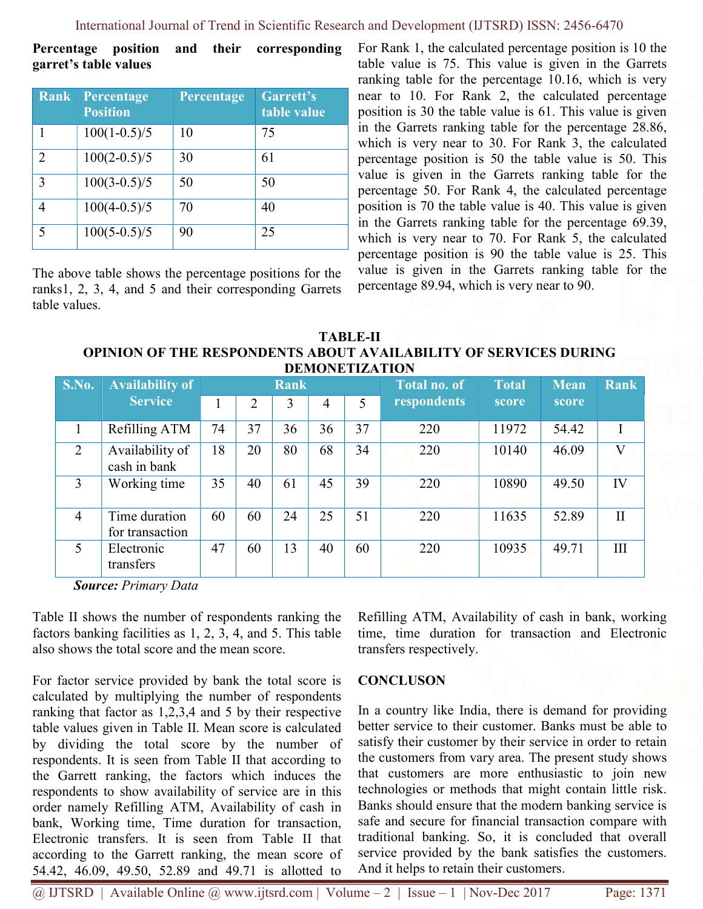Percentage position and their corresponding garret's table values

| Rank                        | Percentage<br><b>Position</b> | Percentage | Garrett's<br>table value |
|-----------------------------|-------------------------------|------------|--------------------------|
| 1                           | $100(1-0.5)/5$                | 10         | 75                       |
| $\mathcal{D}_{\mathcal{L}}$ | $100(2-0.5)/5$                | 30         | 61                       |
| 3                           | $100(3-0.5)/5$                | 50         | 50                       |
| 4                           | $100(4-0.5)/5$                | 70         | 40                       |
| 5                           | $100(5-0.5)/5$                | 90         | 25                       |

The above table shows the percentage positions for the ranks1, 2, 3, 4, and 5 and their corresponding Garrets table values.

For Rank 1, the calculated percentage position is 10 the table value is 75. This value is given in the Garrets ranking table for the percentage 10.16, which is very near to 10. For Rank 2, the calculated percentage position is 30 the table value is 61. This value is given in the Garrets ranking table for the percentage 28.86, which is very near to 30. For Rank 3, the calculated percentage position is 50 the table value is 50. This value is given in the Garrets ranking table for the percentage 50. For Rank 4, the calculated percentage position is 70 the table value is 40. This value is given in the Garrets ranking table for the percentage 69.39, which is very near to 70. For Rank 5, the calculated percentage position is 90 the table value is 25. This value is given in the Garrets ranking table for the percentage 89.94, which is very near to 90.

TABLE-II OPINION OF THE RESPONDENTS ABOUT AVAILABILITY OF SERVICES DURING DEMONETIZATION

| <i><u>DEMONETIERITON</u></i> |                                  |             |    |    |    |    |                     |              |             |                         |
|------------------------------|----------------------------------|-------------|----|----|----|----|---------------------|--------------|-------------|-------------------------|
| S.No.                        | <b>Availability of</b>           | <b>Rank</b> |    |    |    |    | <b>Total no. of</b> | <b>Total</b> | <b>Mean</b> | <b>Rank</b>             |
|                              | <b>Service</b>                   |             | 2  | 3  | 4  | 5  | respondents         | score        | score       |                         |
|                              | Refilling ATM                    | 74          | 37 | 36 | 36 | 37 | 220                 | 11972        | 54.42       |                         |
| 2                            | Availability of<br>cash in bank  | 18          | 20 | 80 | 68 | 34 | 220                 | 10140        | 46.09       | $\overline{\mathsf{V}}$ |
| 3                            | Working time                     | 35          | 40 | 61 | 45 | 39 | 220                 | 10890        | 49.50       | IV                      |
| $\overline{4}$               | Time duration<br>for transaction | 60          | 60 | 24 | 25 | 51 | 220                 | 11635        | 52.89       | $\rm II$                |
| 5                            | Electronic<br>transfers          | 47          | 60 | 13 | 40 | 60 | 220                 | 10935        | 49.71       | III                     |

Source: Primary Data

Table II shows the number of respondents ranking the factors banking facilities as 1, 2, 3, 4, and 5. This table also shows the total score and the mean score.

For factor service provided by bank the total score is calculated by multiplying the number of respondents ranking that factor as 1,2,3,4 and 5 by their respective table values given in Table II. Mean score is calculated by dividing the total score by the number of respondents. It is seen from Table II that according to the Garrett ranking, the factors which induces the respondents to show availability of service are in this order namely Refilling ATM, Availability of cash in bank, Working time, Time duration for transaction, Electronic transfers. It is seen from Table II that according to the Garrett ranking, the mean score of 54.42, 46.09, 49.50, 52.89 and 49.71 is allotted to

Refilling ATM, Availability of cash in bank, working time, time duration for transaction and Electronic transfers respectively.

### **CONCLUSON**

In a country like India, there is demand for providing better service to their customer. Banks must be able to satisfy their customer by their service in order to retain the customers from vary area. The present study shows that customers are more enthusiastic to join new technologies or methods that might contain little risk. Banks should ensure that the modern banking service is safe and secure for financial transaction compare with traditional banking. So, it is concluded that overall service provided by the bank satisfies the customers. And it helps to retain their customers.

 $@$  IJTSRD | Available Online  $@$  www.ijtsrd.com | Volume – 2 | Issue – 1 | Nov-Dec 2017 Page: 1371